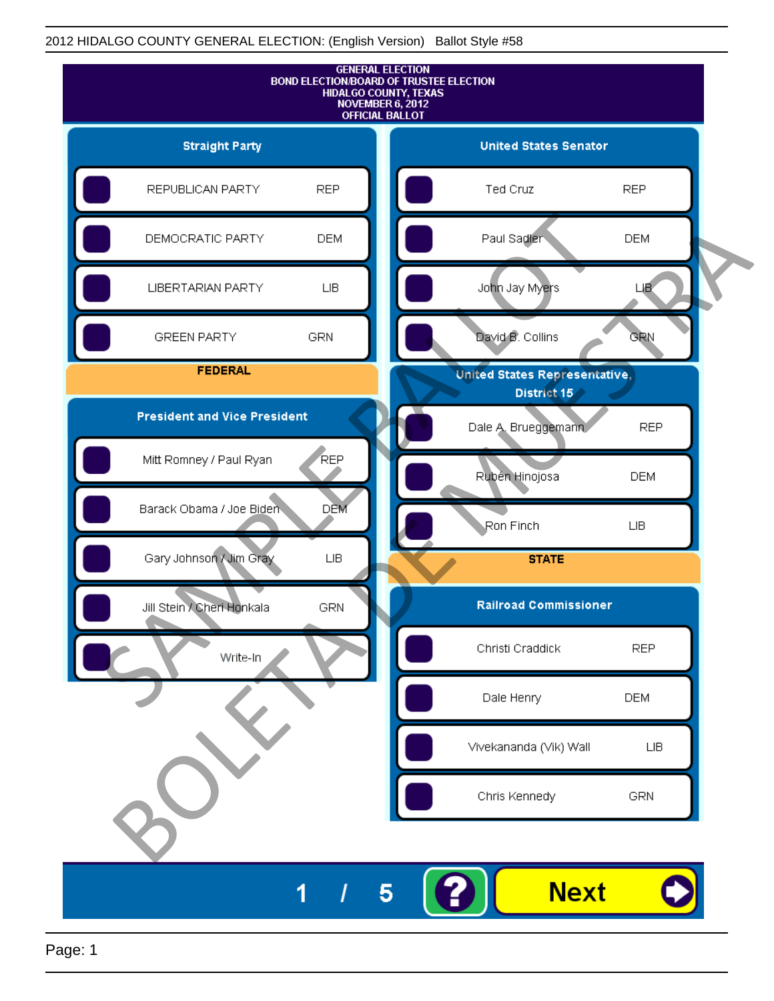### 2012 HIDALGO COUNTY GENERAL ELECTION: (English Version) Ballot Style #58

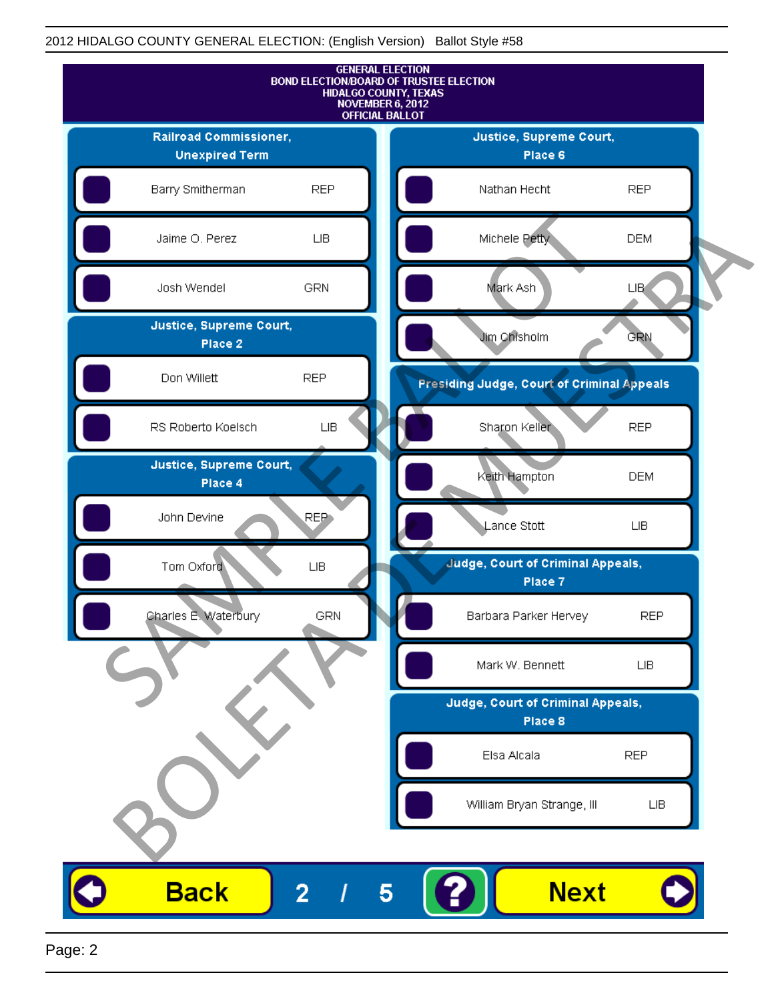### 2012 HIDALGO COUNTY GENERAL ELECTION: (English Version) Ballot Style #58

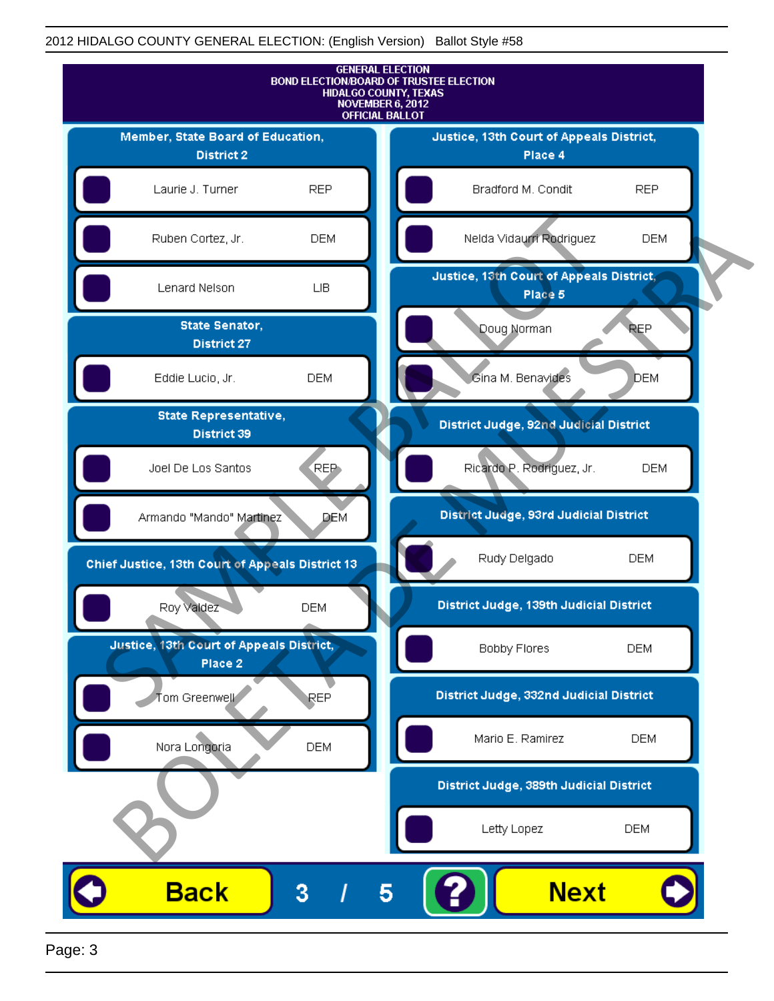### 2012 HIDALGO COUNTY GENERAL ELECTION: (English Version) Ballot Style #58



Page: 3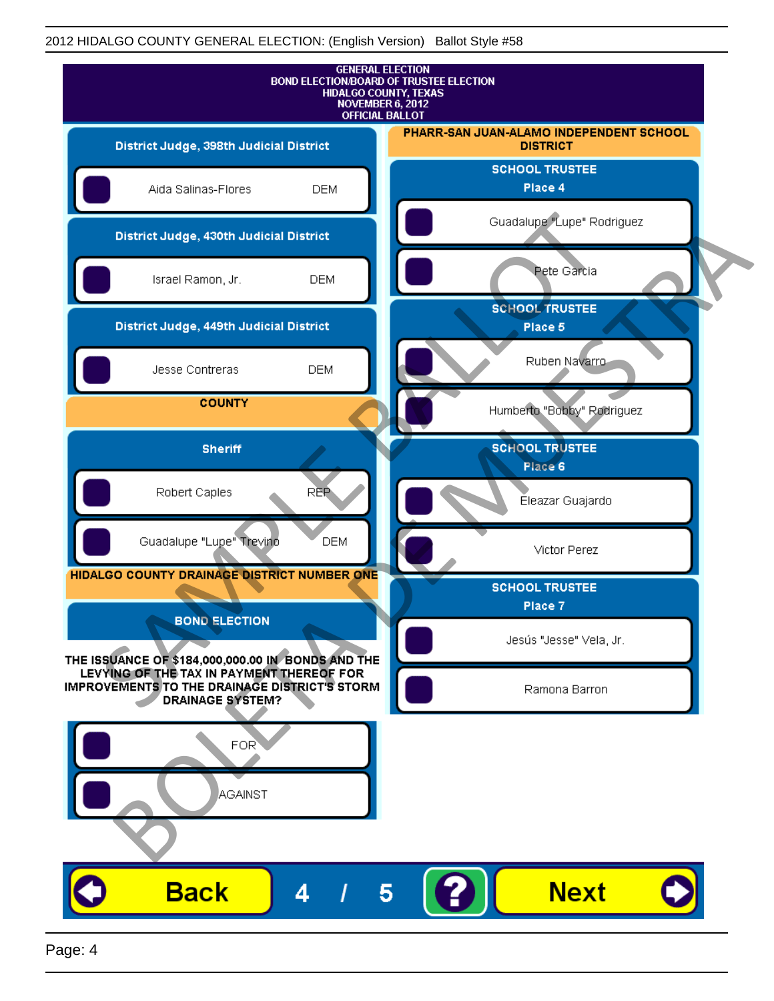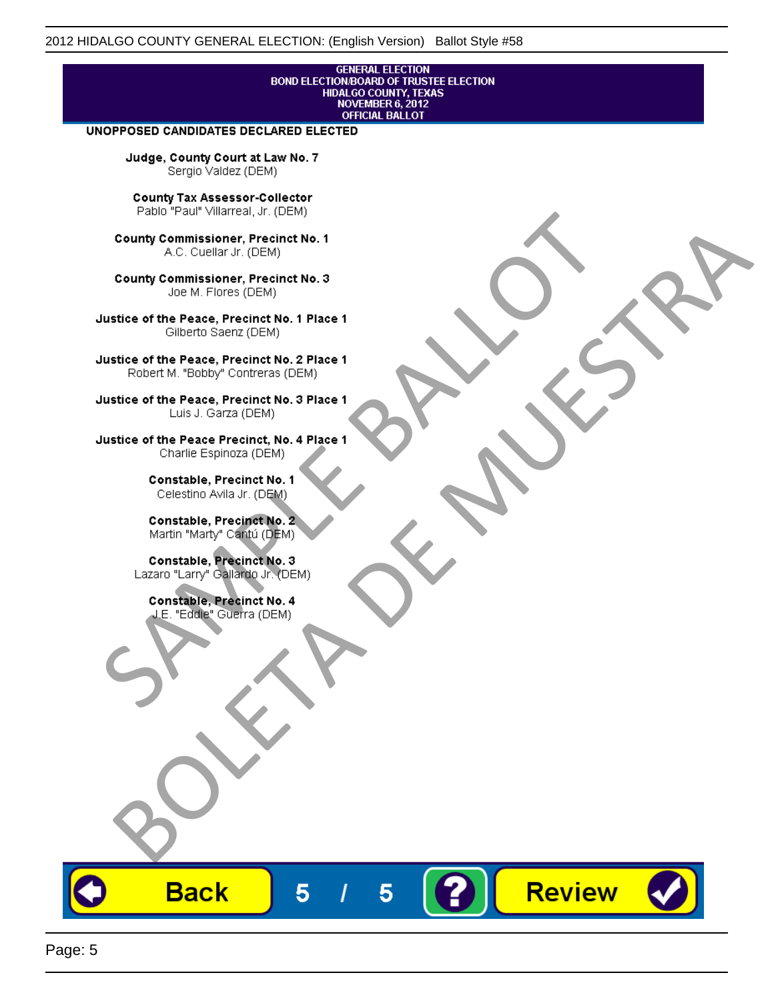# **GENERAL ELECTION** BOND ELECTION/BOARD OF TRUSTEE ELECTION<br>HIDALGO COUNTY, TEXAS<br>NOVEMBER 6, 2012<br>OFFICIAL BALLOT

Review

#### UNOPPOSED CANDIDATES DECLARED ELECTED

Judge, County Court at Law No. 7 Sergio Valdez (DEM)

County Tax Assessor-Collector

Fall Paul Visitera, Precinct No. 1<br>
County Commissioner, Precinct No. 1<br>
SAC. Cutellar JF: (DEM)<br>
County Commissioner, Precinct No. 2<br>
Ulattice of the Peace, Precinct No. 2 Place 1<br>
Counter M. "Bobby" Contrers (DEM)<br>
Ulatt County Commissioner, Precinct No. 1<br>
Accounts: A County Commissioner, Precinct No. 3<br>
Use of the Peace, Precinct No. 1<br>
Siste of the Peace, Precinct No. 1<br>
There is a control of the County Commission (DEM)<br>
There is a cont

**Back** 

5

5

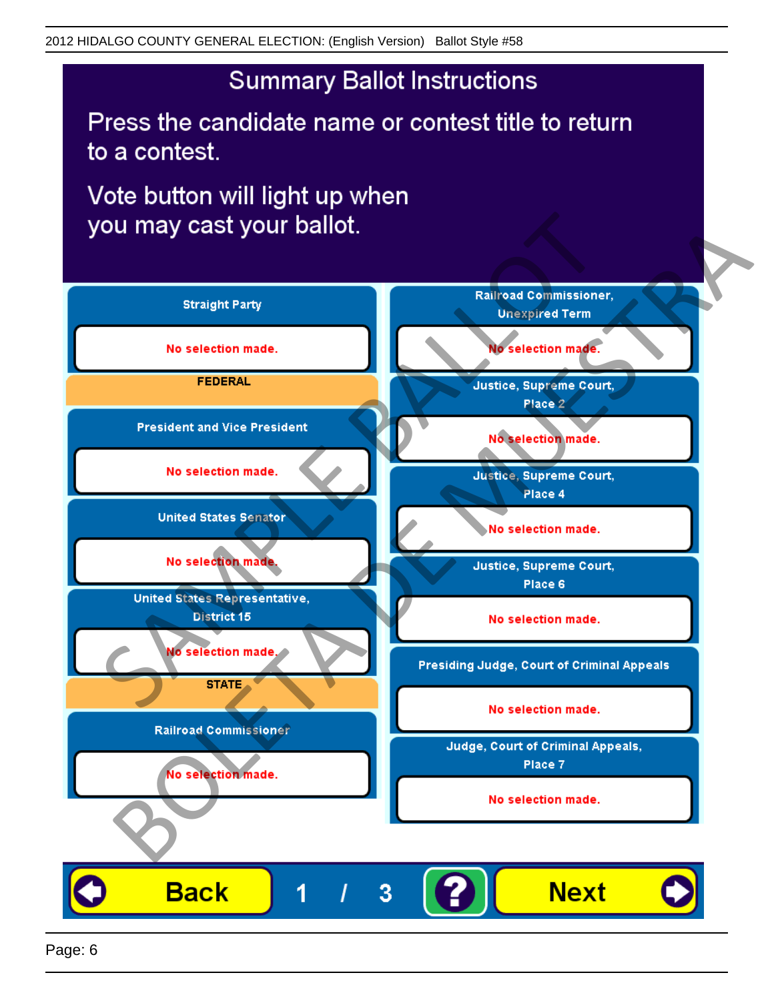## **Summary Ballot Instructions**

Press the candidate name or contest title to return to a contest.

Vote button will light up when

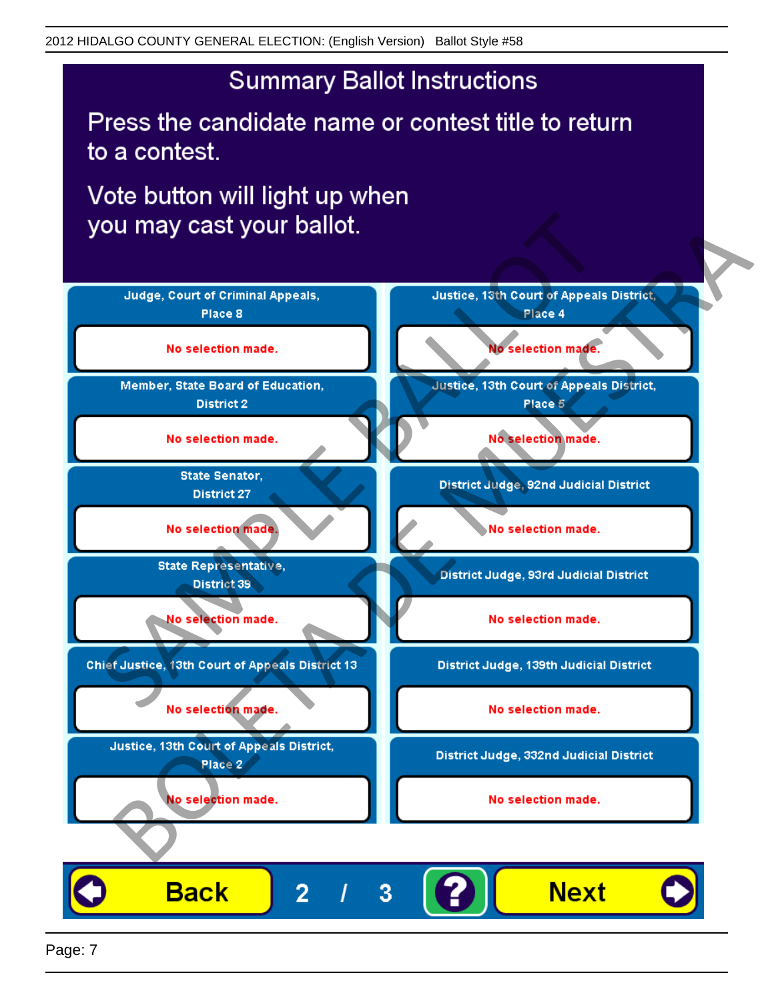## **Summary Ballot Instructions**

Press the candidate name or contest title to return to a contest.

Vote button will light up when